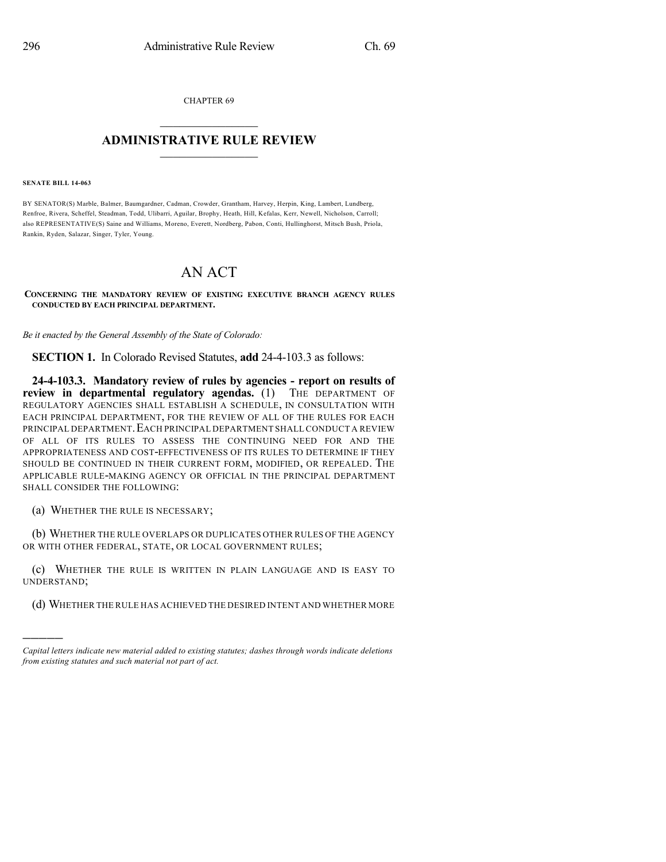CHAPTER 69  $\overline{\phantom{a}}$  . The set of the set of the set of the set of the set of the set of the set of the set of the set of the set of the set of the set of the set of the set of the set of the set of the set of the set of the set o

## **ADMINISTRATIVE RULE REVIEW**  $\_$

**SENATE BILL 14-063**

)))))

BY SENATOR(S) Marble, Balmer, Baumgardner, Cadman, Crowder, Grantham, Harvey, Herpin, King, Lambert, Lundberg, Renfroe, Rivera, Scheffel, Steadman, Todd, Ulibarri, Aguilar, Brophy, Heath, Hill, Kefalas, Kerr, Newell, Nicholson, Carroll; also REPRESENTATIVE(S) Saine and Williams, Moreno, Everett, Nordberg, Pabon, Conti, Hullinghorst, Mitsch Bush, Priola, Rankin, Ryden, Salazar, Singer, Tyler, Young.

## AN ACT

**CONCERNING THE MANDATORY REVIEW OF EXISTING EXECUTIVE BRANCH AGENCY RULES CONDUCTED BY EACH PRINCIPAL DEPARTMENT.**

*Be it enacted by the General Assembly of the State of Colorado:*

**SECTION 1.** In Colorado Revised Statutes, **add** 24-4-103.3 as follows:

**24-4-103.3. Mandatory review of rules by agencies - report on results of review in departmental regulatory agendas.** (1) THE DEPARTMENT OF REGULATORY AGENCIES SHALL ESTABLISH A SCHEDULE, IN CONSULTATION WITH EACH PRINCIPAL DEPARTMENT, FOR THE REVIEW OF ALL OF THE RULES FOR EACH PRINCIPAL DEPARTMENT.EACH PRINCIPAL DEPARTMENT SHALL CONDUCT A REVIEW OF ALL OF ITS RULES TO ASSESS THE CONTINUING NEED FOR AND THE APPROPRIATENESS AND COST-EFFECTIVENESS OF ITS RULES TO DETERMINE IF THEY SHOULD BE CONTINUED IN THEIR CURRENT FORM, MODIFIED, OR REPEALED. THE APPLICABLE RULE-MAKING AGENCY OR OFFICIAL IN THE PRINCIPAL DEPARTMENT SHALL CONSIDER THE FOLLOWING:

(a) WHETHER THE RULE IS NECESSARY;

(b) WHETHER THE RULE OVERLAPS OR DUPLICATES OTHER RULES OF THE AGENCY OR WITH OTHER FEDERAL, STATE, OR LOCAL GOVERNMENT RULES;

(c) WHETHER THE RULE IS WRITTEN IN PLAIN LANGUAGE AND IS EASY TO UNDERSTAND;

(d) WHETHER THE RULE HAS ACHIEVED THE DESIRED INTENT AND WHETHER MORE

*Capital letters indicate new material added to existing statutes; dashes through words indicate deletions from existing statutes and such material not part of act.*